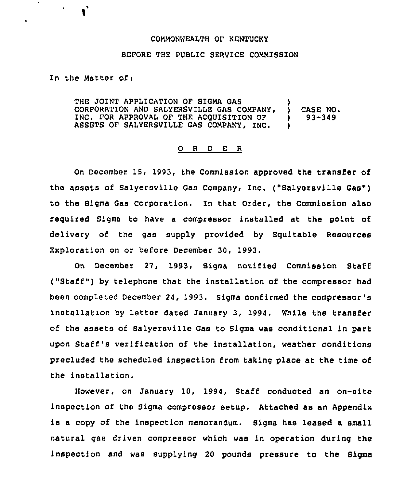## COMMONWEALTH OF KENTUCKY

## BEFORE THE PUBLIC SERVICE COMMISSION

In the Matter ofi

 $\mathbf{u} = \mathbf{u}$ 

 $\mathbf{r}^*$ 

THE JOINT APPLICATION OF SIGMA GAS (1988)<br>CORPORATION AND SALYERSVILLE GAS COMPANY. CORPORATION AND SALYERSVILLE GAS COMPANY, ) CASE NO. INC. FOR APPROVAL OF THE ACQUISITION OF  $\qquad$  )<br>ASSETS OF SALYERSVILLE GAS COMPANY, INC. ASSETS OF SALYERSVILLE GAS COMPANY, INC. )

## 0 <sup>R</sup> <sup>D</sup> E <sup>R</sup>

On December 15, 1993, the Commission approved the transfer of the assets of Salyersville Gas Company, Inc. ("Salyersville Gas") to the Sigma Gas Corporation. In that Order, the Commission also required Sigma to have a compressor installed at the point of delivery of the gas supply provided by Equitable Resources Exploration on or before December 30, 1993.

On December 27, 1993, Sigma notified Commission Staff ("Staff" ) by telephone that the installation of the compressor had been completed December 24, 1993. Sigma confirmed the compressor's installation by letter dated January 3, 1994. While the transfer of the assets of Salyersville Gas to Sigma was conditional in part upon Staff's verification of the installation, weather conditions precluded the scheduled inspection from taking place at the time of the installation.

However, on January 10, 1994, Staff conducted an on-site inspection of the Sigma compressor setup. Attached as an Appendix is <sup>a</sup> copy of the inspection memorandum. Sigma has leased a small natural gas driven compressor which was in operation during the inspection and was supplying 20 pounds pressure to the Sigma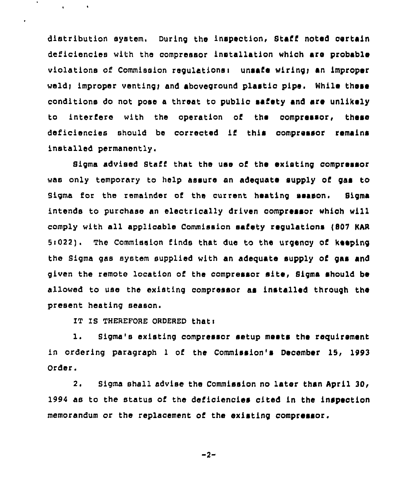distribution system. During the inspection, Staff noted certain deficiencies with tho compressor installation which sre probable violations of Commission requlations: unsafe wiring; an improper weld; improper venting; and aboveground plastic pipe. While these conditions do not pose a threat to public safety and sre unlikely to interfere with the operation of the compressor, these deficiencies should be corrected if this compressor remains installed permanontly.

Sigma advised Staff that the use of the existing compressor was only temporary to help assure an adequate supply of gas to Sigma for the remainder of the current heating season. Sigma intends to purchase an electrically driven aompressar which will comply with all applicable Commission safety regulations (807 KAR 5:022). The Commission finds that due to the urgency of keeping the Sigma gas system supplied with an adequate supply of gas and given the remote location of the compressor site, Sigma should be allowed to use tho existing compressor as installed through the present heating season.

IT IS THEREFORE ORDERED that:

1. Sigma's existing compressor setup meets the requirement in ordering paragraph 1 of the Commission's December 15, 1993 Order.

2. Sigma shall advise the Commission no later than April 30, 1994 as to the status of the deficiencies cited in the inspection memorandum or the replacement of the existing compressor.

$$
-2 -
$$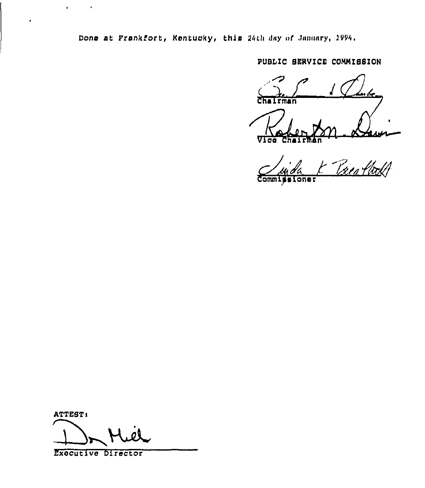Done at Frankfort, Kentucky, this 24th day of January, 1994.

PUBLIC SERVICE COMMISSION

k. **Chairman** Vlca

Treatbold **Commissi** oner

ATTEST:

 $\sim 10$ 

 $\mathbf{r}$  .

 $\pmb{\cdot}$ 

Executive Director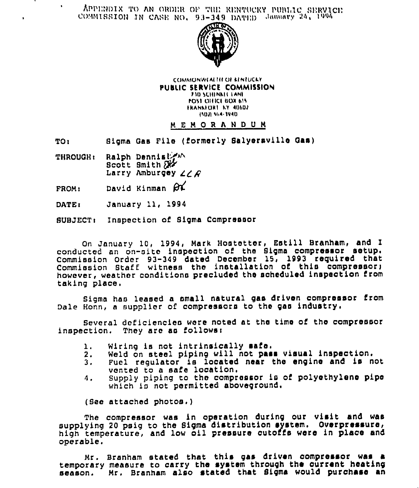APPENDIX TO AN ORDER OF THE RENTUCKY PUBLIC SERVICE



**COMMONWEALTH OF KINTUCKY** PUBLIC SERVICE COMMISSION **710 SCHENKILLANE** POST OFFICE BOX 615 FRANKFORT KY 40602 15021-564-3940

## **MEMORANDUM**

Sigma Gas File (formerly Salyersville Gas) **TO:** 

- Ralph Dennistin **THROUGH:** Scott Smith  $X$ Larry Amburgey  $\angle \angle F$
- David Kinman OL FROM:

 $\bullet$ 

DATE: January 11, 1994

SUBJECT: Inspection of Sigma Compressor

On January 10, 1994, Mark Hostetter, Estill Branham, and I conducted an on-site inspection of the Sigma compressor setup. Commission Order 93-349 dated December 15, 1993 required that Commission Staff witness the installation of this compressor; however, weather conditions precluded the scheduled inspection from taking place.

Sigma has leased a small natural gas driven compressor from Dale Honn, a supplier of compressors to the gas industry.

Several deficiencies were noted at the time of the compressor inspection. They are as follows:

- Wiring is not intrinsically safe. 1.
- Weld on steel piping will not pass visual inspection.  $2.$
- Fuel requiator is located near the engine and is not  $3.$ vented to a safe location.
- Supply piping to the compressor is of polyethylene pipe  $4.$ which is not permitted aboveground.

(See attached photos.)

The compressor was in operation during our visit and was supplying 20 psig to the Sigma distribution system. Overpressure, high temperature, and low oil pressure cutoffs were in place and operable.

Mr. Branham stated that this gas driven compressor was a temporary measure to carry the system through the current heating season. Mr. Branham also stated that Sigma would purchase an